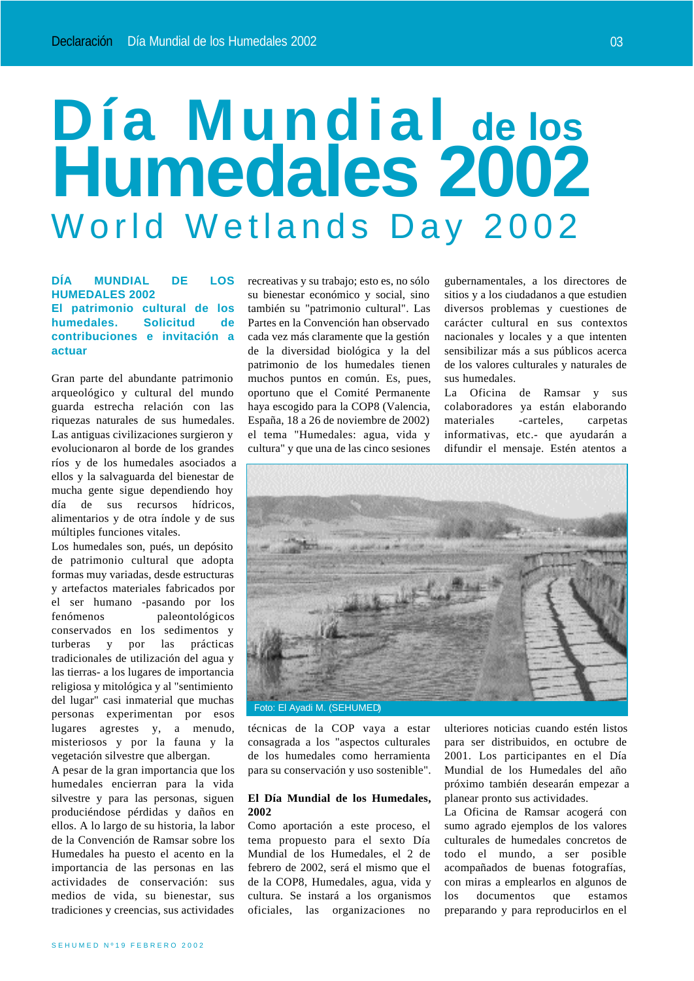# **Día Mundial de los Humedales 2002** World Wetlands Day 2002

## **DÍA MUNDIAL DE LOS HUMEDALES 2002 El patrimonio cultural de los humedales. Solicitud de contribuciones e invitación a actuar**

Gran parte del abundante patrimonio arqueológico y cultural del mundo guarda estrecha relación con las riquezas naturales de sus humedales. Las antiguas civilizaciones surgieron y evolucionaron al borde de los grandes ríos y de los humedales asociados a ellos y la salvaguarda del bienestar de mucha gente sigue dependiendo hoy día de sus recursos hídricos, alimentarios y de otra índole y de sus múltiples funciones vitales.

Los humedales son, pués, un depósito de patrimonio cultural que adopta formas muy variadas, desde estructuras y artefactos materiales fabricados por el ser humano -pasando por los fenómenos paleontológicos conservados en los sedimentos y turberas y por las prácticas tradicionales de utilización del agua y las tierras- a los lugares de importancia religiosa y mitológica y al "sentimiento del lugar" casi inmaterial que muchas personas experimentan por esos lugares agrestes y, a menudo, misteriosos y por la fauna y la vegetación silvestre que albergan.

A pesar de la gran importancia que los humedales encierran para la vida silvestre y para las personas, siguen produciéndose pérdidas y daños en ellos. A lo largo de su historia, la labor de la Convención de Ramsar sobre los Humedales ha puesto el acento en la importancia de las personas en las actividades de conservación: sus medios de vida, su bienestar, sus tradiciones y creencias, sus actividades

recreativas y su trabajo; esto es, no sólo su bienestar económico y social, sino también su "patrimonio cultural". Las Partes en la Convención han observado cada vez más claramente que la gestión de la diversidad biológica y la del patrimonio de los humedales tienen muchos puntos en común. Es, pues, oportuno que el Comité Permanente haya escogido para la COP8 (Valencia, España, 18 a 26 de noviembre de 2002) el tema "Humedales: agua, vida y cultura" y que una de las cinco sesiones gubernamentales, a los directores de sitios y a los ciudadanos a que estudien diversos problemas y cuestiones de carácter cultural en sus contextos nacionales y locales y a que intenten sensibilizar más a sus públicos acerca de los valores culturales y naturales de sus humedales.

La Oficina de Ramsar y sus colaboradores ya están elaborando materiales -carteles, carpetas informativas, etc.- que ayudarán a difundir el mensaje. Estén atentos a



técnicas de la COP vaya a estar consagrada a los "aspectos culturales de los humedales como herramienta para su conservación y uso sostenible".

### **El Día Mundial de los Humedales, 2002**

Como aportación a este proceso, el tema propuesto para el sexto Día Mundial de los Humedales, el 2 de febrero de 2002, será el mismo que el de la COP8, Humedales, agua, vida y cultura. Se instará a los organismos oficiales, las organizaciones no

ulteriores noticias cuando estén listos para ser distribuidos, en octubre de 2001. Los participantes en el Día Mundial de los Humedales del año próximo también desearán empezar a planear pronto sus actividades.

La Oficina de Ramsar acogerá con sumo agrado ejemplos de los valores culturales de humedales concretos de todo el mundo, a ser posible acompañados de buenas fotografías, con miras a emplearlos en algunos de los documentos que estamos preparando y para reproducirlos en el